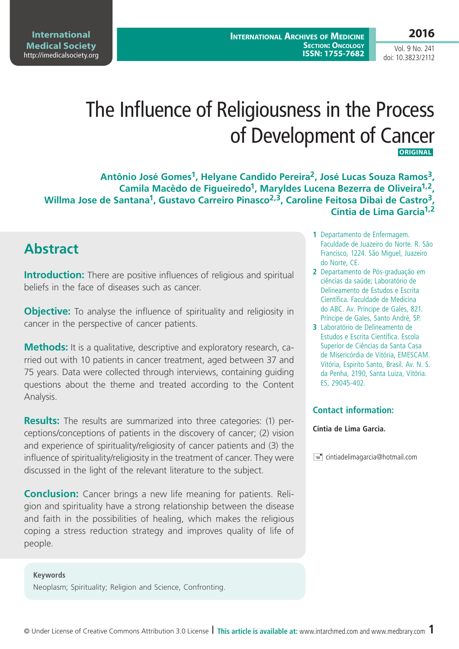**International Medical Society**  http://imedicalsociety.org

Vol. 9 No. 241 doi: 10.3823/2112

# The Influence of Religiousness in the Process of Development of Cancer  **ORIGINAL**

**Antônio José Gomes1, Helyane Candido Pereira2, José Lucas Souza Ramos3, Camila Macêdo de Figueiredo1, Maryldes Lucena Bezerra de Oliveira1,2, Willma Jose de Santana1, Gustavo Carreiro Pinasco2,3, Caroline Feitosa Dibai de Castro3, Cíntia de Lima Garcia1,2**

# **Abstract**

**Introduction:** There are positive influences of religious and spiritual beliefs in the face of diseases such as cancer.

**Objective:** To analyse the influence of spirituality and religiosity in cancer in the perspective of cancer patients.

**Methods:** It is a qualitative, descriptive and exploratory research, carried out with 10 patients in cancer treatment, aged between 37 and 75 years. Data were collected through interviews, containing guiding questions about the theme and treated according to the Content Analysis.

**Results:** The results are summarized into three categories: (1) perceptions/conceptions of patients in the discovery of cancer; (2) vision and experience of spirituality/religiosity of cancer patients and (3) the influence of spirituality/religiosity in the treatment of cancer. They were discussed in the light of the relevant literature to the subject.

**Conclusion:** Cancer brings a new life meaning for patients. Religion and spirituality have a strong relationship between the disease and faith in the possibilities of healing, which makes the religious coping a stress reduction strategy and improves quality of life of people.

#### **Keywords**

Neoplasm; Spirituality; Religion and Science, Confronting.

- **1** Departamento de Enfermagem. Faculdade de Juazeiro do Norte. R. São Francisco, 1224. São Miguel, Juazeiro do Norte, CE.
- **2** Departamento de Pós-graduação em ciências da saúde; Laboratório de Delineamento de Estudos e Escrita Científica. Faculdade de Medicina do ABC. Av. Príncipe de Gales, 821. Príncipe de Gales, Santo André, SP.
- **3** Laboratório de Delineamento de Estudos e Escrita Científica. Escola Superior de Ciências da Santa Casa de Misericórdia de Vitória, EMESCAM. Vitória, Espirito Santo, Brasil. Av. N. S. da Penha, 2190, Santa Luiza, Vitória. ES, 29045-402.

### **Contact information:**

#### **Cintia de Lima Garcia.**

 $\equiv$  cintiadelimagarcia@hotmail.com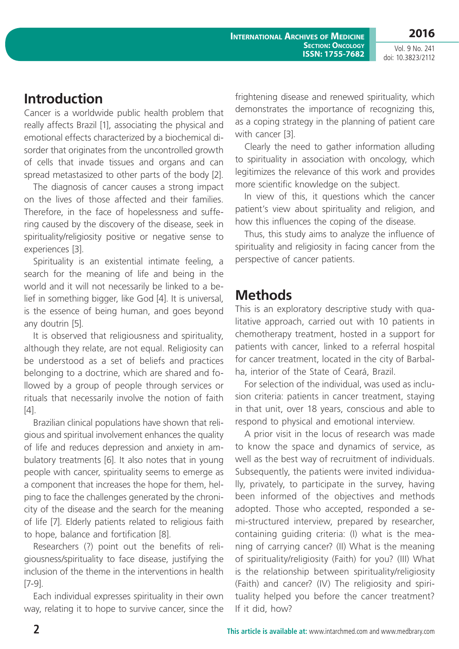# **Introduction**

Cancer is a worldwide public health problem that really affects Brazil [1], associating the physical and emotional effects characterized by a biochemical disorder that originates from the uncontrolled growth of cells that invade tissues and organs and can spread metastasized to other parts of the body [2].

The diagnosis of cancer causes a strong impact on the lives of those affected and their families. Therefore, in the face of hopelessness and suffering caused by the discovery of the disease, seek in spirituality/religiosity positive or negative sense to experiences [3].

Spirituality is an existential intimate feeling, a search for the meaning of life and being in the world and it will not necessarily be linked to a belief in something bigger, like God [4]. It is universal, is the essence of being human, and goes beyond any doutrin [5].

It is observed that religiousness and spirituality, although they relate, are not equal. Religiosity can be understood as a set of beliefs and practices belonging to a doctrine, which are shared and followed by a group of people through services or rituals that necessarily involve the notion of faith  $[4]$ .

Brazilian clinical populations have shown that religious and spiritual involvement enhances the quality of life and reduces depression and anxiety in ambulatory treatments [6]. It also notes that in young people with cancer, spirituality seems to emerge as a component that increases the hope for them, helping to face the challenges generated by the chronicity of the disease and the search for the meaning of life [7]. Elderly patients related to religious faith to hope, balance and fortification [8].

Researchers (?) point out the benefits of religiousness/spirituality to face disease, justifying the inclusion of the theme in the interventions in health [7-9].

Each individual expresses spirituality in their own way, relating it to hope to survive cancer, since the frightening disease and renewed spirituality, which demonstrates the importance of recognizing this, as a coping strategy in the planning of patient care with cancer [3].

Clearly the need to gather information alluding to spirituality in association with oncology, which legitimizes the relevance of this work and provides more scientific knowledge on the subject.

In view of this, it questions which the cancer patient's view about spirituality and religion, and how this influences the coping of the disease.

Thus, this study aims to analyze the influence of spirituality and religiosity in facing cancer from the perspective of cancer patients.

# **Methods**

This is an exploratory descriptive study with qualitative approach, carried out with 10 patients in chemotherapy treatment, hosted in a support for patients with cancer, linked to a referral hospital for cancer treatment, located in the city of Barbalha, interior of the State of Ceará, Brazil.

For selection of the individual, was used as inclusion criteria: patients in cancer treatment, staying in that unit, over 18 years, conscious and able to respond to physical and emotional interview.

A prior visit in the locus of research was made to know the space and dynamics of service, as well as the best way of recruitment of individuals. Subsequently, the patients were invited individually, privately, to participate in the survey, having been informed of the objectives and methods adopted. Those who accepted, responded a semi-structured interview, prepared by researcher, containing guiding criteria: (I) what is the meaning of carrying cancer? (II) What is the meaning of spirituality/religiosity (Faith) for you? (III) What is the relationship between spirituality/religiosity (Faith) and cancer? (IV) The religiosity and spirituality helped you before the cancer treatment? If it did, how?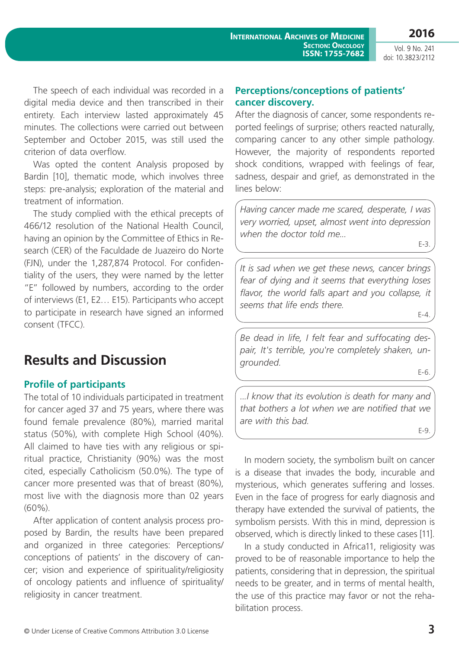**2016**

Vol. 9 No. 241 doi: 10.3823/2112

The speech of each individual was recorded in a digital media device and then transcribed in their entirety. Each interview lasted approximately 45 minutes. The collections were carried out between September and October 2015, was still used the criterion of data overflow.

Was opted the content Analysis proposed by Bardin [10], thematic mode, which involves three steps: pre-analysis; exploration of the material and treatment of information.

The study complied with the ethical precepts of 466/12 resolution of the National Health Council, having an opinion by the Committee of Ethics in Research (CER) of the Faculdade de Juazeiro do Norte (FJN), under the 1,287,874 Protocol. For confidentiality of the users, they were named by the letter "E" followed by numbers, according to the order of interviews (E1, E2… E15). Participants who accept to participate in research have signed an informed consent (TFCC).

# **Results and Discussion**

## **Profile of participants**

The total of 10 individuals participated in treatment for cancer aged 37 and 75 years, where there was found female prevalence (80%), married marital status (50%), with complete High School (40%). All claimed to have ties with any religious or spiritual practice, Christianity (90%) was the most cited, especially Catholicism (50.0%). The type of cancer more presented was that of breast (80%), most live with the diagnosis more than 02 years (60%).

After application of content analysis process proposed by Bardin, the results have been prepared and organized in three categories: Perceptions/ conceptions of patients' in the discovery of cancer; vision and experience of spirituality/religiosity of oncology patients and influence of spirituality/ religiosity in cancer treatment.

## **Perceptions/conceptions of patients' cancer discovery.**

After the diagnosis of cancer, some respondents reported feelings of surprise; others reacted naturally, comparing cancer to any other simple pathology. However, the majority of respondents reported shock conditions, wrapped with feelings of fear, sadness, despair and grief, as demonstrated in the lines below:

*Having cancer made me scared, desperate, I was very worried, upset, almost went into depression when the doctor told me...*

E-3.

*It is sad when we get these news, cancer brings fear of dying and it seems that everything loses flavor, the world falls apart and you collapse, it seems that life ends there.*

E-4.

*Be dead in life, I felt fear and suffocating despair, It's terrible, you're completely shaken, ungrounded.*

E-6.

*...I know that its evolution is death for many and that bothers a lot when we are notified that we are with this bad.*

E-9.

In modern society, the symbolism built on cancer is a disease that invades the body, incurable and mysterious, which generates suffering and losses. Even in the face of progress for early diagnosis and therapy have extended the survival of patients, the symbolism persists. With this in mind, depression is observed, which is directly linked to these cases [11].

In a study conducted in Africa11, religiosity was proved to be of reasonable importance to help the patients, considering that in depression, the spiritual needs to be greater, and in terms of mental health, the use of this practice may favor or not the rehabilitation process.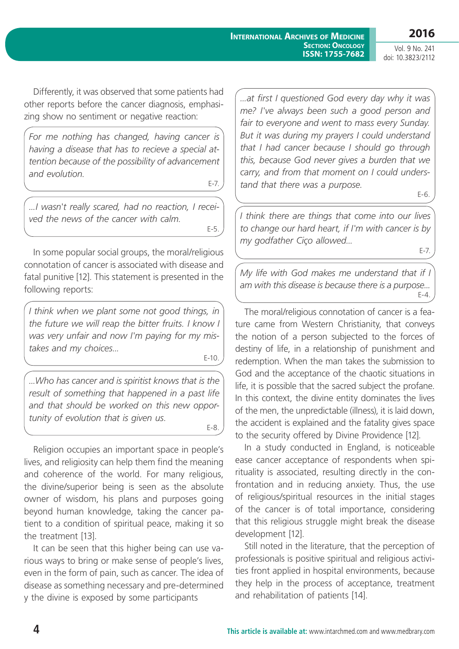**2016**

Vol. 9 No. 241 doi: 10.3823/2112

Differently, it was observed that some patients had other reports before the cancer diagnosis, emphasizing show no sentiment or negative reaction:

*For me nothing has changed, having cancer is having a disease that has to recieve a special attention because of the possibility of advancement and evolution.*

E-7.

*...I wasn't really scared, had no reaction, I received the news of the cancer with calm.*

E-5.

In some popular social groups, the moral/religious connotation of cancer is associated with disease and fatal punitive [12]. This statement is presented in the following reports:

*I think when we plant some not good things, in the future we will reap the bitter fruits. I know I was very unfair and now I'm paying for my mistakes and my choices...*

E-10.

*...Who has cancer and is spiritist knows that is the result of something that happened in a past life and that should be worked on this new opportunity of evolution that is given us.* E-8.

Religion occupies an important space in people's lives, and religiosity can help them find the meaning and coherence of the world. For many religious, the divine/superior being is seen as the absolute owner of wisdom, his plans and purposes going beyond human knowledge, taking the cancer patient to a condition of spiritual peace, making it so the treatment [13].

It can be seen that this higher being can use various ways to bring or make sense of people's lives, even in the form of pain, such as cancer. The idea of disease as something necessary and pre-determined y the divine is exposed by some participants

*...at first I questioned God every day why it was me? I've always been such a good person and fair to everyone and went to mass every Sunday. But it was during my prayers I could understand that I had cancer because I should go through this, because God never gives a burden that we carry, and from that moment on I could understand that there was a purpose.* 

E-6.

*I think there are things that come into our lives to change our hard heart, if I'm with cancer is by my godfather Ciço allowed...*  E-7.

*My life with God makes me understand that if I am with this disease is because there is a purpose...* E-4.

The moral/religious connotation of cancer is a feature came from Western Christianity, that conveys the notion of a person subjected to the forces of destiny of life, in a relationship of punishment and redemption. When the man takes the submission to God and the acceptance of the chaotic situations in life, it is possible that the sacred subject the profane. In this context, the divine entity dominates the lives of the men, the unpredictable (illness), it is laid down, the accident is explained and the fatality gives space to the security offered by Divine Providence [12].

In a study conducted in England, is noticeable ease cancer acceptance of respondents when spirituality is associated, resulting directly in the confrontation and in reducing anxiety. Thus, the use of religious/spiritual resources in the initial stages of the cancer is of total importance, considering that this religious struggle might break the disease development [12].

Still noted in the literature, that the perception of professionals is positive spiritual and religious activities front applied in hospital environments, because they help in the process of acceptance, treatment and rehabilitation of patients [14].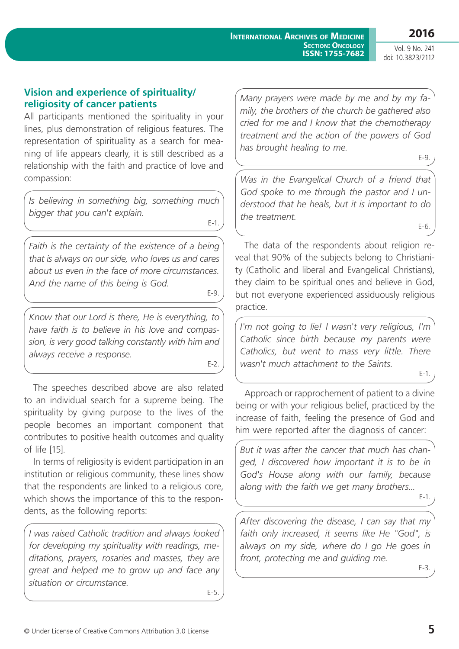## **Vision and experience of spirituality/ religiosity of cancer patients**

All participants mentioned the spirituality in your lines, plus demonstration of religious features. The representation of spirituality as a search for meaning of life appears clearly, it is still described as a relationship with the faith and practice of love and compassion:

*Is believing in something big, something much bigger that you can't explain.* 

*Faith is the certainty of the existence of a being that is always on our side, who loves us and cares about us even in the face of more circumstances. And the name of this being is God.*

E-9.

E-1.

*Know that our Lord is there, He is everything, to have faith is to believe in his love and compassion, is very good talking constantly with him and always receive a response.*

E-2.

The speeches described above are also related to an individual search for a supreme being. The spirituality by giving purpose to the lives of the people becomes an important component that contributes to positive health outcomes and quality of life [15].

In terms of religiosity is evident participation in an institution or religious community, these lines show that the respondents are linked to a religious core, which shows the importance of this to the respondents, as the following reports:

*I was raised Catholic tradition and always looked for developing my spirituality with readings, meditations, prayers, rosaries and masses, they are great and helped me to grow up and face any situation or circumstance.* E-5.

*Many prayers were made by me and by my family, the brothers of the church be gathered also cried for me and I know that the chemotherapy treatment and the action of the powers of God has brought healing to me.*

E-9.

E-6.

*Was in the Evangelical Church of a friend that God spoke to me through the pastor and I understood that he heals, but it is important to do the treatment.*

The data of the respondents about religion reveal that 90% of the subjects belong to Christianity (Catholic and liberal and Evangelical Christians), they claim to be spiritual ones and believe in God, but not everyone experienced assiduously religious practice.

*I'm not going to lie! I wasn't very religious, I'm Catholic since birth because my parents were Catholics, but went to mass very little. There wasn't much attachment to the Saints.*

E-1.

Approach or rapprochement of patient to a divine being or with your religious belief, practiced by the increase of faith, feeling the presence of God and him were reported after the diagnosis of cancer:

*But it was after the cancer that much has changed, I discovered how important it is to be in God's House along with our family, because along with the faith we get many brothers...*  E-1.

*After discovering the disease, I can say that my faith only increased, it seems like He "God", is always on my side, where do I go He goes in front, protecting me and guiding me.*

E-3.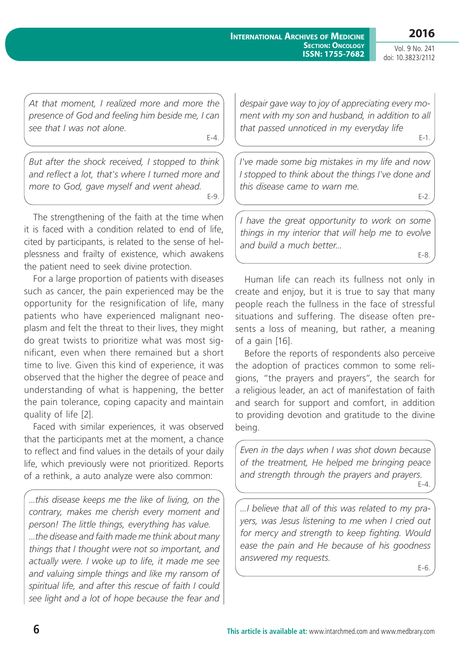#### **International Archives of Medicine SECTION: ONCOLOGY ISSN: 1755-7682**

**2016** Vol. 9 No. 241

E-2.

doi: 10.3823/2112

*At that moment, I realized more and more the presence of God and feeling him beside me, I can see that I was not alone.*

E-4.

*But after the shock received, I stopped to think and reflect a lot, that's where I turned more and more to God, gave myself and went ahead.* E-9.

The strengthening of the faith at the time when it is faced with a condition related to end of life, cited by participants, is related to the sense of helplessness and frailty of existence, which awakens the patient need to seek divine protection.

For a large proportion of patients with diseases such as cancer, the pain experienced may be the opportunity for the resignification of life, many patients who have experienced malignant neoplasm and felt the threat to their lives, they might do great twists to prioritize what was most significant, even when there remained but a short time to live. Given this kind of experience, it was observed that the higher the degree of peace and understanding of what is happening, the better the pain tolerance, coping capacity and maintain quality of life [2].

Faced with similar experiences, it was observed that the participants met at the moment, a chance to reflect and find values in the details of your daily life, which previously were not prioritized. Reports of a rethink, a auto analyze were also common:

*...this disease keeps me the like of living, on the contrary, makes me cherish every moment and person! The little things, everything has value. ...the disease and faith made me think about many things that I thought were not so important, and actually were. I woke up to life, it made me see and valuing simple things and like my ransom of spiritual life, and after this rescue of faith I could see light and a lot of hope because the fear and*  *despair gave way to joy of appreciating every moment with my son and husband, in addition to all that passed unnoticed in my everyday life* E-1.

*I've made some big mistakes in my life and now I stopped to think about the things I've done and this disease came to warn me.*

*I have the great opportunity to work on some things in my interior that will help me to evolve and build a much better...* E-8.

Human life can reach its fullness not only in create and enjoy, but it is true to say that many people reach the fullness in the face of stressful situations and suffering. The disease often presents a loss of meaning, but rather, a meaning of a gain [16].

Before the reports of respondents also perceive the adoption of practices common to some religions, "the prayers and prayers", the search for a religious leader, an act of manifestation of faith and search for support and comfort, in addition to providing devotion and gratitude to the divine being.

*Even in the days when I was shot down because of the treatment, He helped me bringing peace and strength through the prayers and prayers.*  $F-4$ 

*...I believe that all of this was related to my prayers, was Jesus listening to me when I cried out for mercy and strength to keep fighting. Would ease the pain and He because of his goodness answered my requests.*

E-6.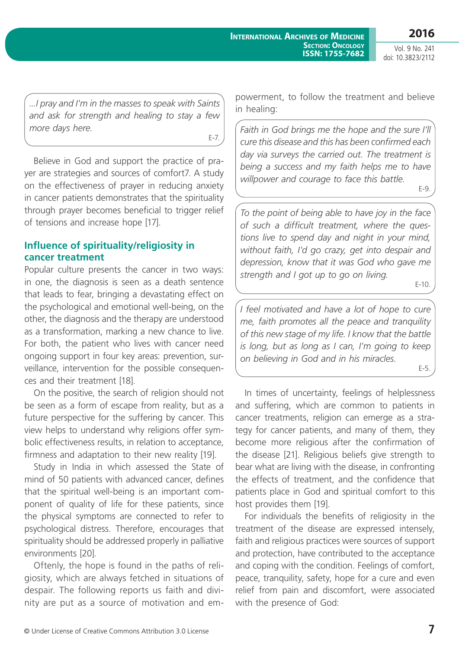*...I pray and I'm in the masses to speak with Saints and ask for strength and healing to stay a few more days here.*

E-7.

Believe in God and support the practice of prayer are strategies and sources of comfort7. A study on the effectiveness of prayer in reducing anxiety in cancer patients demonstrates that the spirituality through prayer becomes beneficial to trigger relief of tensions and increase hope [17].

## **Influence of spirituality/religiosity in cancer treatment**

Popular culture presents the cancer in two ways: in one, the diagnosis is seen as a death sentence that leads to fear, bringing a devastating effect on the psychological and emotional well-being, on the other, the diagnosis and the therapy are understood as a transformation, marking a new chance to live. For both, the patient who lives with cancer need ongoing support in four key areas: prevention, surveillance, intervention for the possible consequences and their treatment [18].

On the positive, the search of religion should not be seen as a form of escape from reality, but as a future perspective for the suffering by cancer. This view helps to understand why religions offer symbolic effectiveness results, in relation to acceptance, firmness and adaptation to their new reality [19].

Study in India in which assessed the State of mind of 50 patients with advanced cancer, defines that the spiritual well-being is an important component of quality of life for these patients, since the physical symptoms are connected to refer to psychological distress. Therefore, encourages that spirituality should be addressed properly in palliative environments [20].

Oftenly, the hope is found in the paths of religiosity, which are always fetched in situations of despair. The following reports us faith and divinity are put as a source of motivation and empowerment, to follow the treatment and believe in healing:

*Faith in God brings me the hope and the sure I'll cure this disease and this has been confirmed each day via surveys the carried out. The treatment is being a success and my faith helps me to have willpower and courage to face this battle.* E-9.

*To the point of being able to have joy in the face of such a difficult treatment, where the questions live to spend day and night in your mind, without faith, I'd go crazy, get into despair and depression, know that it was God who gave me strength and I got up to go on living.*

E-10.

*I feel motivated and have a lot of hope to cure me, faith promotes all the peace and tranquility of this new stage of my life. I know that the battle is long, but as long as I can, I'm going to keep on believing in God and in his miracles.*

E-5.

In times of uncertainty, feelings of helplessness and suffering, which are common to patients in cancer treatments, religion can emerge as a strategy for cancer patients, and many of them, they become more religious after the confirmation of the disease [21]. Religious beliefs give strength to bear what are living with the disease, in confronting the effects of treatment, and the confidence that patients place in God and spiritual comfort to this host provides them [19].

For individuals the benefits of religiosity in the treatment of the disease are expressed intensely, faith and religious practices were sources of support and protection, have contributed to the acceptance and coping with the condition. Feelings of comfort, peace, tranquility, safety, hope for a cure and even relief from pain and discomfort, were associated with the presence of God: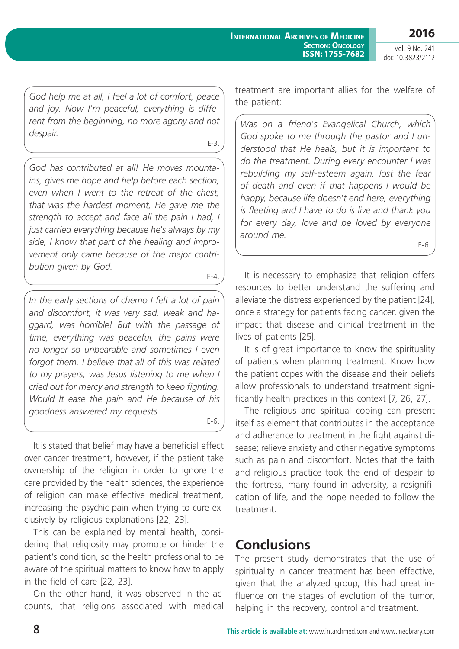**2016**

Vol. 9 No. 241 doi: 10.3823/2112

*God help me at all, I feel a lot of comfort, peace and joy. Now I'm peaceful, everything is different from the beginning, no more agony and not despair.*

E-3.

*God has contributed at all! He moves mountains, gives me hope and help before each section, even when I went to the retreat of the chest, that was the hardest moment, He gave me the strength to accept and face all the pain I had, I just carried everything because he's always by my side, I know that part of the healing and improvement only came because of the major contribution given by God.*

E-4.

*In the early sections of chemo I felt a lot of pain and discomfort, it was very sad, weak and haggard, was horrible! But with the passage of time, everything was peaceful, the pains were no longer so unbearable and sometimes I even forgot them. I believe that all of this was related to my prayers, was Jesus listening to me when I cried out for mercy and strength to keep fighting. Would It ease the pain and He because of his goodness answered my requests.*

E-6.

It is stated that belief may have a beneficial effect over cancer treatment, however, if the patient take ownership of the religion in order to ignore the care provided by the health sciences, the experience of religion can make effective medical treatment, increasing the psychic pain when trying to cure exclusively by religious explanations [22, 23].

This can be explained by mental health, considering that religiosity may promote or hinder the patient's condition, so the health professional to be aware of the spiritual matters to know how to apply in the field of care [22, 23].

On the other hand, it was observed in the accounts, that religions associated with medical treatment are important allies for the welfare of the patient:

*Was on a friend's Evangelical Church, which God spoke to me through the pastor and I understood that He heals, but it is important to do the treatment. During every encounter I was rebuilding my self-esteem again, lost the fear of death and even if that happens I would be happy, because life doesn't end here, everything is fleeting and I have to do is live and thank you for every day, love and be loved by everyone around me.*

 $F-6$ .

It is necessary to emphasize that religion offers resources to better understand the suffering and alleviate the distress experienced by the patient [24], once a strategy for patients facing cancer, given the impact that disease and clinical treatment in the lives of patients [25].

It is of great importance to know the spirituality of patients when planning treatment. Know how the patient copes with the disease and their beliefs allow professionals to understand treatment significantly health practices in this context [7, 26, 27].

The religious and spiritual coping can present itself as element that contributes in the acceptance and adherence to treatment in the fight against disease; relieve anxiety and other negative symptoms such as pain and discomfort. Notes that the faith and religious practice took the end of despair to the fortress, many found in adversity, a resignification of life, and the hope needed to follow the treatment.

# **Conclusions**

The present study demonstrates that the use of spirituality in cancer treatment has been effective, given that the analyzed group, this had great influence on the stages of evolution of the tumor. helping in the recovery, control and treatment.